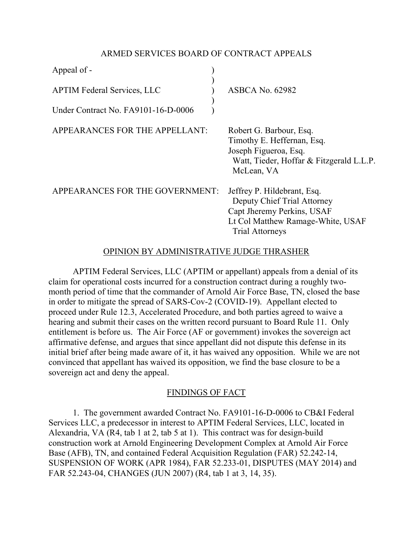# ARMED SERVICES BOARD OF CONTRACT APPEALS

| Appeal of -                         |                                                                                                                                                         |
|-------------------------------------|---------------------------------------------------------------------------------------------------------------------------------------------------------|
| <b>APTIM Federal Services, LLC</b>  | <b>ASBCA No. 62982</b>                                                                                                                                  |
| Under Contract No. FA9101-16-D-0006 |                                                                                                                                                         |
| APPEARANCES FOR THE APPELLANT:      | Robert G. Barbour, Esq.<br>Timothy E. Heffernan, Esq.<br>Joseph Figueroa, Esq.<br>Watt, Tieder, Hoffar & Fitzgerald L.L.P.<br>McLean, VA                |
| APPEARANCES FOR THE GOVERNMENT:     | Jeffrey P. Hildebrant, Esq.<br>Deputy Chief Trial Attorney<br>Capt Jheremy Perkins, USAF<br>Lt Col Matthew Ramage-White, USAF<br><b>Trial Attorneys</b> |

# OPINION BY ADMINISTRATIVE JUDGE THRASHER

APTIM Federal Services, LLC (APTIM or appellant) appeals from a denial of its claim for operational costs incurred for a construction contract during a roughly twomonth period of time that the commander of Arnold Air Force Base, TN, closed the base in order to mitigate the spread of SARS-Cov-2 (COVID-19). Appellant elected to proceed under Rule 12.3, Accelerated Procedure, and both parties agreed to waive a hearing and submit their cases on the written record pursuant to Board Rule 11. Only entitlement is before us. The Air Force (AF or government) invokes the sovereign act affirmative defense, and argues that since appellant did not dispute this defense in its initial brief after being made aware of it, it has waived any opposition. While we are not convinced that appellant has waived its opposition, we find the base closure to be a sovereign act and deny the appeal.

## FINDINGS OF FACT

1. The government awarded Contract No. FA9101-16-D-0006 to CB&I Federal Services LLC, a predecessor in interest to APTIM Federal Services, LLC, located in Alexandria, VA (R4, tab 1 at 2, tab 5 at 1). This contract was for design-build construction work at Arnold Engineering Development Complex at Arnold Air Force Base (AFB), TN, and contained Federal Acquisition Regulation (FAR) 52.242-14, SUSPENSION OF WORK (APR 1984), FAR 52.233-01, DISPUTES (MAY 2014) and FAR 52.243-04, CHANGES (JUN 2007) (R4, tab 1 at 3, 14, 35).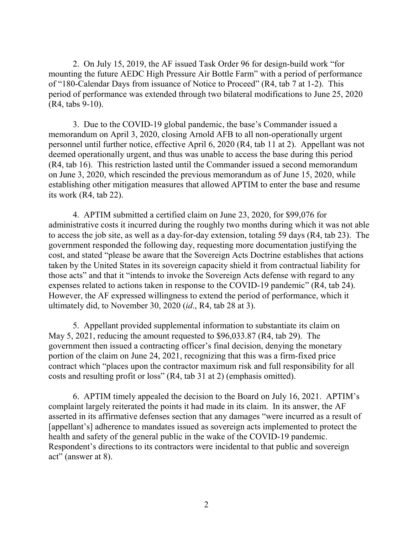2. On July 15, 2019, the AF issued Task Order 96 for design-build work "for mounting the future AEDC High Pressure Air Bottle Farm" with a period of performance of "180-Calendar Days from issuance of Notice to Proceed" (R4, tab 7 at 1-2). This period of performance was extended through two bilateral modifications to June 25, 2020 (R4, tabs 9-10).

3. Due to the COVID-19 global pandemic, the base's Commander issued a memorandum on April 3, 2020, closing Arnold AFB to all non-operationally urgent personnel until further notice, effective April 6, 2020 (R4, tab 11 at 2). Appellant was not deemed operationally urgent, and thus was unable to access the base during this period (R4, tab 16). This restriction lasted until the Commander issued a second memorandum on June 3, 2020, which rescinded the previous memorandum as of June 15, 2020, while establishing other mitigation measures that allowed APTIM to enter the base and resume its work (R4, tab 22).

4. APTIM submitted a certified claim on June 23, 2020, for \$99,076 for administrative costs it incurred during the roughly two months during which it was not able to access the job site, as well as a day-for-day extension, totaling 59 days (R4, tab 23). The government responded the following day, requesting more documentation justifying the cost, and stated "please be aware that the Sovereign Acts Doctrine establishes that actions taken by the United States in its sovereign capacity shield it from contractual liability for those acts" and that it "intends to invoke the Sovereign Acts defense with regard to any expenses related to actions taken in response to the COVID-19 pandemic" (R4, tab 24). However, the AF expressed willingness to extend the period of performance, which it ultimately did, to November 30, 2020 (*id*., R4, tab 28 at 3).

5. Appellant provided supplemental information to substantiate its claim on May 5, 2021, reducing the amount requested to \$96,033.87 (R4, tab 29). The government then issued a contracting officer's final decision, denying the monetary portion of the claim on June 24, 2021, recognizing that this was a firm-fixed price contract which "places upon the contractor maximum risk and full responsibility for all costs and resulting profit or loss" (R4, tab 31 at 2) (emphasis omitted).

6. APTIM timely appealed the decision to the Board on July 16, 2021. APTIM's complaint largely reiterated the points it had made in its claim. In its answer, the AF asserted in its affirmative defenses section that any damages "were incurred as a result of [appellant's] adherence to mandates issued as sovereign acts implemented to protect the health and safety of the general public in the wake of the COVID-19 pandemic. Respondent's directions to its contractors were incidental to that public and sovereign act" (answer at 8).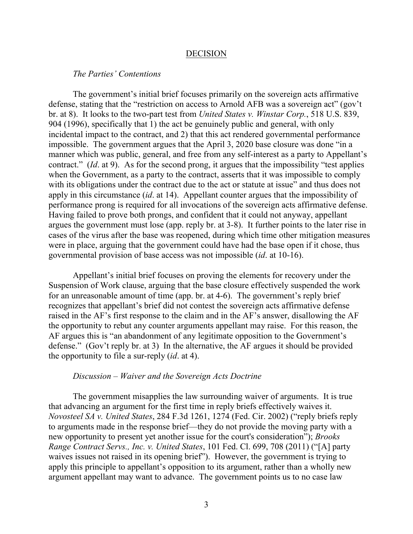#### DECISION

### *The Parties' Contentions*

The government's initial brief focuses primarily on the sovereign acts affirmative defense, stating that the "restriction on access to Arnold AFB was a sovereign act" (gov't br. at 8). It looks to the two-part test from *United States v. Winstar Corp.*, 518 U.S. 839, 904 (1996), specifically that 1) the act be genuinely public and general, with only incidental impact to the contract, and 2) that this act rendered governmental performance impossible. The government argues that the April 3, 2020 base closure was done "in a manner which was public, general, and free from any self-interest as a party to Appellant's contract." (*Id*. at 9). As for the second prong, it argues that the impossibility "test applies when the Government, as a party to the contract, asserts that it was impossible to comply with its obligations under the contract due to the act or statute at issue" and thus does not apply in this circumstance (*id*. at 14). Appellant counter argues that the impossibility of performance prong is required for all invocations of the sovereign acts affirmative defense. Having failed to prove both prongs, and confident that it could not anyway, appellant argues the government must lose (app. reply br. at 3-8). It further points to the later rise in cases of the virus after the base was reopened, during which time other mitigation measures were in place, arguing that the government could have had the base open if it chose, thus governmental provision of base access was not impossible (*id*. at 10-16).

Appellant's initial brief focuses on proving the elements for recovery under the Suspension of Work clause, arguing that the base closure effectively suspended the work for an unreasonable amount of time (app. br. at 4-6). The government's reply brief recognizes that appellant's brief did not contest the sovereign acts affirmative defense raised in the AF's first response to the claim and in the AF's answer, disallowing the AF the opportunity to rebut any counter arguments appellant may raise. For this reason, the AF argues this is "an abandonment of any legitimate opposition to the Government's defense." (Gov't reply br. at 3) In the alternative, the AF argues it should be provided the opportunity to file a sur-reply (*id*. at 4).

#### *Discussion – Waiver and the Sovereign Acts Doctrine*

The government misapplies the law surrounding waiver of arguments. It is true that advancing an argument for the first time in reply briefs effectively waives it. *Novosteel SA v. United States*, 284 F.3d 1261, 1274 (Fed. Cir. 2002) ("reply briefs reply to arguments made in the response brief—they do not provide the moving party with a new opportunity to present yet another issue for the court's consideration"); *Brooks Range Contract Servs., Inc. v. United States*, 101 Fed. Cl. 699, 708 (2011) ("[A] party waives issues not raised in its opening brief"). However, the government is trying to apply this principle to appellant's opposition to its argument, rather than a wholly new argument appellant may want to advance. The government points us to no case law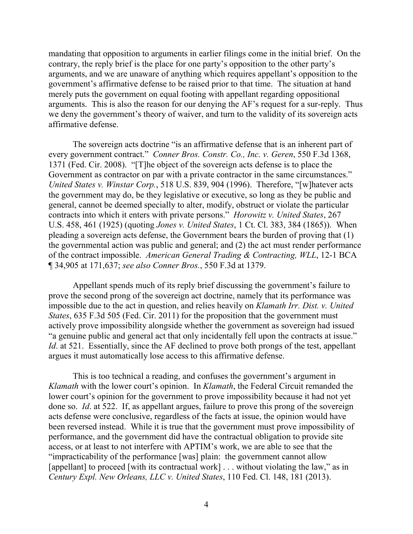mandating that opposition to arguments in earlier filings come in the initial brief. On the contrary, the reply brief is the place for one party's opposition to the other party's arguments, and we are unaware of anything which requires appellant's opposition to the government's affirmative defense to be raised prior to that time. The situation at hand merely puts the government on equal footing with appellant regarding oppositional arguments. This is also the reason for our denying the AF's request for a sur-reply. Thus we deny the government's theory of waiver, and turn to the validity of its sovereign acts affirmative defense.

The sovereign acts doctrine "is an affirmative defense that is an inherent part of every government contract." *Conner Bros. Constr. Co., Inc. v. Geren*, 550 F.3d 1368, 1371 (Fed. Cir. 2008). "[T]he object of the sovereign acts defense is to place the Government as contractor on par with a private contractor in the same circumstances." *United States v. Winstar Corp.*, 518 U.S. 839, 904 (1996). Therefore, "[w]hatever acts the government may do, be they legislative or executive, so long as they be public and general, cannot be deemed specially to alter, modify, obstruct or violate the particular contracts into which it enters with private persons." *Horowitz v. United States*, 267 U.S. 458, 461 (1925) (quoting *Jones v. United States*, 1 Ct. Cl. 383, 384 (1865)). When pleading a sovereign acts defense, the Government bears the burden of proving that (1) the governmental action was public and general; and (2) the act must render performance of the contract impossible. *American General Trading & Contracting, WLL*, 12-1 BCA ¶ 34,905 at 171,637; *see also Conner Bros.*, 550 F.3d at 1379.

Appellant spends much of its reply brief discussing the government's failure to prove the second prong of the sovereign act doctrine, namely that its performance was impossible due to the act in question, and relies heavily on *Klamath Irr. Dist. v. United States*, 635 F.3d 505 (Fed. Cir. 2011) for the proposition that the government must actively prove impossibility alongside whether the government as sovereign had issued "a genuine public and general act that only incidentally fell upon the contracts at issue." *Id.* at 521. Essentially, since the AF declined to prove both prongs of the test, appellant argues it must automatically lose access to this affirmative defense.

This is too technical a reading, and confuses the government's argument in *Klamath* with the lower court's opinion. In *Klamath*, the Federal Circuit remanded the lower court's opinion for the government to prove impossibility because it had not yet done so. *Id*. at 522. If, as appellant argues, failure to prove this prong of the sovereign acts defense were conclusive, regardless of the facts at issue, the opinion would have been reversed instead. While it is true that the government must prove impossibility of performance, and the government did have the contractual obligation to provide site access, or at least to not interfere with APTIM's work, we are able to see that the "impracticability of the performance [was] plain: the government cannot allow [appellant] to proceed [with its contractual work] . . . without violating the law," as in *Century Expl. New Orleans, LLC v. United States*, 110 Fed. Cl. 148, 181 (2013).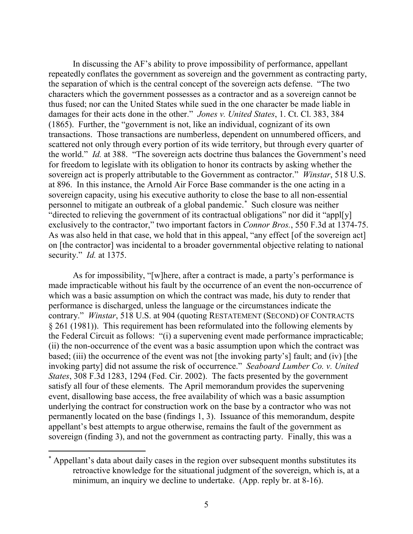In discussing the AF's ability to prove impossibility of performance, appellant repeatedly conflates the government as sovereign and the government as contracting party, the separation of which is the central concept of the sovereign acts defense. "The two characters which the government possesses as a contractor and as a sovereign cannot be thus fused; nor can the United States while sued in the one character be made liable in damages for their acts done in the other." *Jones v. United States*, 1. Ct. Cl. 383, 384 (1865). Further, the "government is not, like an individual, cognizant of its own transactions. Those transactions are numberless, dependent on unnumbered officers, and scattered not only through every portion of its wide territory, but through every quarter of the world." *Id.* at 388. "The sovereign acts doctrine thus balances the Government's need for freedom to legislate with its obligation to honor its contracts by asking whether the sovereign act is properly attributable to the Government as contractor." *Winstar*, 518 U.S. at 896. In this instance, the Arnold Air Force Base commander is the one acting in a sovereign capacity, using his executive authority to close the base to all non-essential personnel to mitigate an outbreak of a global pandemic.[\\*](#page-4-0) Such closure was neither "directed to relieving the government of its contractual obligations" nor did it "appl[y] exclusively to the contractor," two important factors in *Connor Bros.*, 550 F.3d at 1374-75. As was also held in that case, we hold that in this appeal, "any effect [of the sovereign act] on [the contractor] was incidental to a broader governmental objective relating to national security." *Id.* at 1375.

As for impossibility, "[w]here, after a contract is made, a party's performance is made impracticable without his fault by the occurrence of an event the non-occurrence of which was a basic assumption on which the contract was made, his duty to render that performance is discharged, unless the language or the circumstances indicate the contrary." *Winstar*, 518 U.S. at 904 (quoting RESTATEMENT (SECOND) OF CONTRACTS § 261 (1981)). This requirement has been reformulated into the following elements by the Federal Circuit as follows: "(i) a supervening event made performance impracticable; (ii) the non-occurrence of the event was a basic assumption upon which the contract was based; (iii) the occurrence of the event was not [the invoking party's] fault; and (iv) [the invoking party] did not assume the risk of occurrence." *Seaboard Lumber Co. v. United States*, 308 F.3d 1283, 1294 (Fed. Cir. 2002). The facts presented by the government satisfy all four of these elements. The April memorandum provides the supervening event, disallowing base access, the free availability of which was a basic assumption underlying the contract for construction work on the base by a contractor who was not permanently located on the base (findings 1, 3). Issuance of this memorandum, despite appellant's best attempts to argue otherwise, remains the fault of the government as sovereign (finding 3), and not the government as contracting party. Finally, this was a

<span id="page-4-0"></span> <sup>\*</sup> Appellant's data about daily cases in the region over subsequent months substitutes its retroactive knowledge for the situational judgment of the sovereign, which is, at a minimum, an inquiry we decline to undertake. (App. reply br. at 8-16).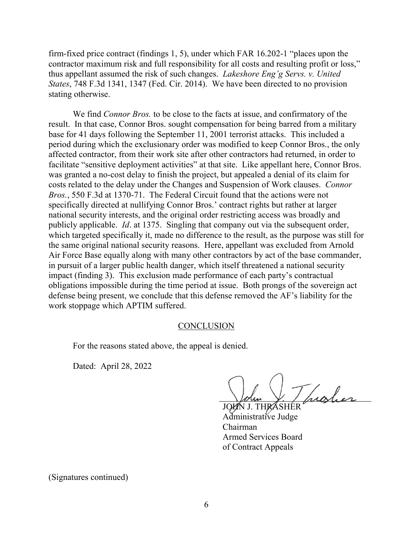firm-fixed price contract (findings 1, 5), under which FAR 16.202-1 "places upon the contractor maximum risk and full responsibility for all costs and resulting profit or loss," thus appellant assumed the risk of such changes. *Lakeshore Eng'g Servs. v. United States*, 748 F.3d 1341, 1347 (Fed. Cir. 2014). We have been directed to no provision stating otherwise.

We find *Connor Bros.* to be close to the facts at issue, and confirmatory of the result. In that case, Connor Bros. sought compensation for being barred from a military base for 41 days following the September 11, 2001 terrorist attacks. This included a period during which the exclusionary order was modified to keep Connor Bros., the only affected contractor, from their work site after other contractors had returned, in order to facilitate "sensitive deployment activities" at that site. Like appellant here, Connor Bros. was granted a no-cost delay to finish the project, but appealed a denial of its claim for costs related to the delay under the Changes and Suspension of Work clauses. *Connor Bros.*, 550 F.3d at 1370-71. The Federal Circuit found that the actions were not specifically directed at nullifying Connor Bros.' contract rights but rather at larger national security interests, and the original order restricting access was broadly and publicly applicable. *Id*. at 1375. Singling that company out via the subsequent order, which targeted specifically it, made no difference to the result, as the purpose was still for the same original national security reasons. Here, appellant was excluded from Arnold Air Force Base equally along with many other contractors by act of the base commander, in pursuit of a larger public health danger, which itself threatened a national security impact (finding 3). This exclusion made performance of each party's contractual obligations impossible during the time period at issue. Both prongs of the sovereign act defense being present, we conclude that this defense removed the AF's liability for the work stoppage which APTIM suffered.

## **CONCLUSION**

For the reasons stated above, the appeal is denied.

Dated: April 28, 2022

traber

JOHN J. THR Administrative Judge Chairman Armed Services Board of Contract Appeals

(Signatures continued)